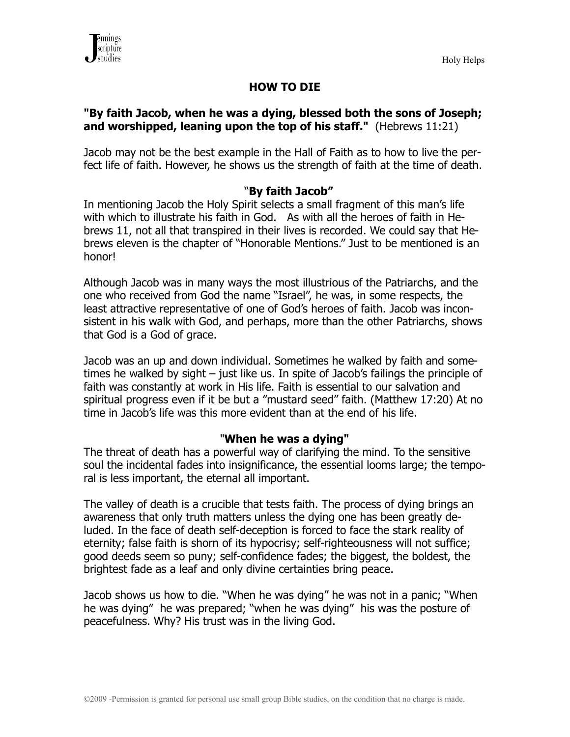

# **HOW TO DIE**

# **"By faith Jacob, when he was a dying, blessed both the sons of Joseph; and worshipped, leaning upon the top of his staff."** (Hebrews 11:21)

Jacob may not be the best example in the Hall of Faith as to how to live the perfect life of faith. However, he shows us the strength of faith at the time of death.

# "**By faith Jacob"**

In mentioning Jacob the Holy Spirit selects a small fragment of this man's life with which to illustrate his faith in God. As with all the heroes of faith in Hebrews 11, not all that transpired in their lives is recorded. We could say that Hebrews eleven is the chapter of "Honorable Mentions." Just to be mentioned is an honor!

Although Jacob was in many ways the most illustrious of the Patriarchs, and the one who received from God the name "Israel", he was, in some respects, the least attractive representative of one of God's heroes of faith. Jacob was inconsistent in his walk with God, and perhaps, more than the other Patriarchs, shows that God is a God of grace.

Jacob was an up and down individual. Sometimes he walked by faith and sometimes he walked by sight – just like us. In spite of Jacob's failings the principle of faith was constantly at work in His life. Faith is essential to our salvation and spiritual progress even if it be but a "mustard seed" faith. (Matthew 17:20) At no time in Jacob's life was this more evident than at the end of his life.

## "**When he was a dying"**

The threat of death has a powerful way of clarifying the mind. To the sensitive soul the incidental fades into insignificance, the essential looms large; the temporal is less important, the eternal all important.

The valley of death is a crucible that tests faith. The process of dying brings an awareness that only truth matters unless the dying one has been greatly deluded. In the face of death self-deception is forced to face the stark reality of eternity; false faith is shorn of its hypocrisy; self-righteousness will not suffice; good deeds seem so puny; self-confidence fades; the biggest, the boldest, the brightest fade as a leaf and only divine certainties bring peace.

Jacob shows us how to die. "When he was dying" he was not in a panic; "When he was dying" he was prepared; "when he was dying" his was the posture of peacefulness. Why? His trust was in the living God.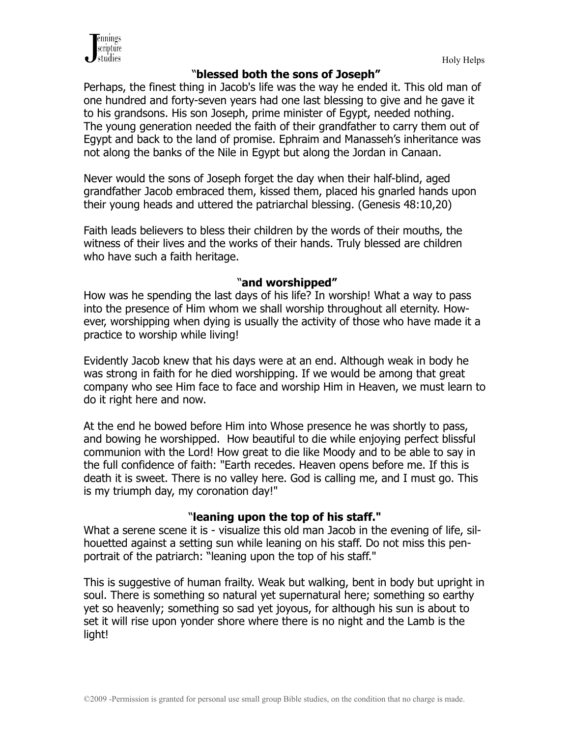

#### "**blessed both the sons of Joseph"**

Perhaps, the finest thing in Jacob's life was the way he ended it. This old man of one hundred and forty-seven years had one last blessing to give and he gave it to his grandsons. His son Joseph, prime minister of Egypt, needed nothing. The young generation needed the faith of their grandfather to carry them out of Egypt and back to the land of promise. Ephraim and Manasseh's inheritance was not along the banks of the Nile in Egypt but along the Jordan in Canaan.

Never would the sons of Joseph forget the day when their half-blind, aged grandfather Jacob embraced them, kissed them, placed his gnarled hands upon their young heads and uttered the patriarchal blessing. (Genesis 48:10,20)

Faith leads believers to bless their children by the words of their mouths, the witness of their lives and the works of their hands. Truly blessed are children who have such a faith heritage.

#### "**and worshipped"**

How was he spending the last days of his life? In worship! What a way to pass into the presence of Him whom we shall worship throughout all eternity. However, worshipping when dying is usually the activity of those who have made it a practice to worship while living!

Evidently Jacob knew that his days were at an end. Although weak in body he was strong in faith for he died worshipping. If we would be among that great company who see Him face to face and worship Him in Heaven, we must learn to do it right here and now.

At the end he bowed before Him into Whose presence he was shortly to pass, and bowing he worshipped. How beautiful to die while enjoying perfect blissful communion with the Lord! How great to die like Moody and to be able to say in the full confidence of faith: "Earth recedes. Heaven opens before me. If this is death it is sweet. There is no valley here. God is calling me, and I must go. This is my triumph day, my coronation day!"

## "**leaning upon the top of his staff."**

What a serene scene it is - visualize this old man Jacob in the evening of life, silhouetted against a setting sun while leaning on his staff. Do not miss this penportrait of the patriarch: "leaning upon the top of his staff."

This is suggestive of human frailty. Weak but walking, bent in body but upright in soul. There is something so natural yet supernatural here; something so earthy yet so heavenly; something so sad yet joyous, for although his sun is about to set it will rise upon yonder shore where there is no night and the Lamb is the light!